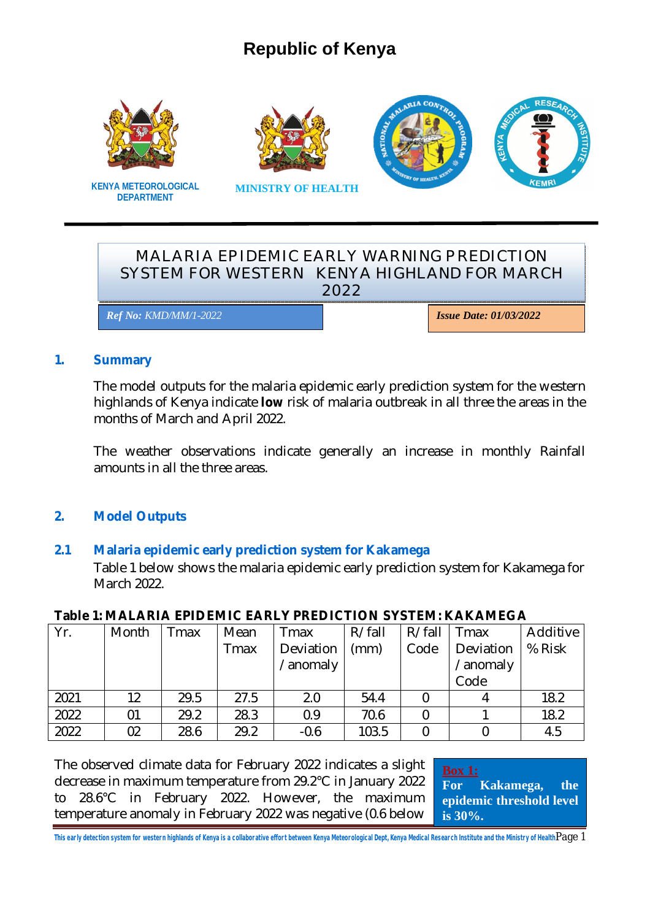# **Republic of Kenya**







# **DEPARTMENT**

**KENYA METEOROLOGICAL MINISTRY OF HEALTH**

## MALARIA EPIDEMIC EARLY WARNING PREDICTION SYSTEM FOR WESTERN KENYA HIGHLAND FOR MARCH 2022

*Ref No: KMD/MM/1-2022 Issue Date: 01/03/2022*

#### **1. Summary**

The model outputs for the malaria epidemic early prediction system for the western highlands of Kenya indicate **low** risk of malaria outbreak in all three the areas in the months of March and April 2022.

The weather observations indicate generally an increase in monthly Rainfall amounts in all the three areas.

# **2. Model Outputs**

#### **2.1 Malaria epidemic early prediction system for Kakamega**

Table 1 below shows the malaria epidemic early prediction system for Kakamega for March 2022.

| Yr.  | Month | Tmax | Mean | Tmax      | R/fall | R/fall | Tmax      | Additive |
|------|-------|------|------|-----------|--------|--------|-----------|----------|
|      |       |      | Tmax | Deviation | (mm)   | Code   | Deviation | % Risk   |
|      |       |      |      | /anomaly  |        |        | /anomaly  |          |
|      |       |      |      |           |        |        | Code      |          |
| 2021 | 12    | 29.5 | 27.5 | 2.0       | 54.4   |        |           | 18.2     |
| 2022 | 01    | 29.2 | 28.3 | 0.9       | 70.6   |        |           | 18.2     |
| 2022 | 02    | 28.6 | 29.2 | $-0.6$    | 103.5  |        |           | 4.5      |

#### **Table 1: MALARIA EPIDEMIC EARLY PREDICTION SYSTEM: KAKAMEGA**

The observed climate data for February 2022 indicates a slight decrease in maximum temperature from 29.2°C in January 2022 to 28.6°C in February 2022. However, the maximum temperature anomaly in February 2022 was negative (0.6 below

**Box 1: For Kakamega, the epidemic threshold level is 30%.**

**This early detection system for western highlands of Kenya is a collaborative effort between Kenya Meteorological Dept, Kenya Medical Research Institute and the Ministry of Health**Page 1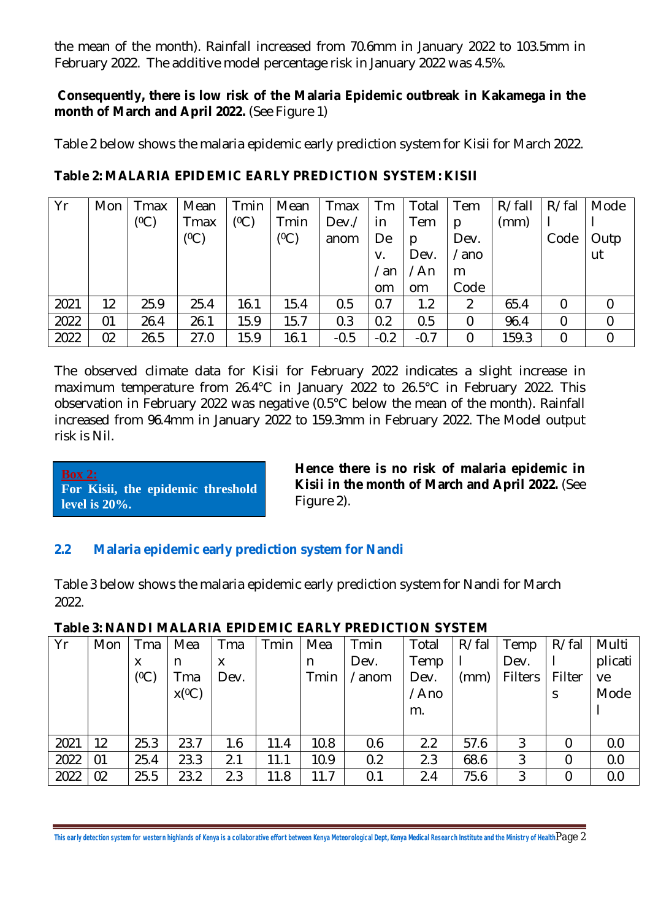the mean of the month). Rainfall increased from 70.6mm in January 2022 to 103.5mm in February 2022. The additive model percentage risk in January 2022 was 4.5%.

#### **Consequently, there is low risk of the Malaria Epidemic outbreak in Kakamega in the month of March and April 2022.** (See Figure 1)

Table 2 below shows the malaria epidemic early prediction system for Kisii for March 2022.

| Yr   | Mon | Tmax | Mean    | Tmin | Mean    | Tmax   | Tm          | Total         | Tem              | R/fall | R/fal          | Mode |
|------|-----|------|---------|------|---------|--------|-------------|---------------|------------------|--------|----------------|------|
|      |     | (0C) | Tmax    | (0C) | Tmin    | Dev./  | in          | Tem           | p                | (mm)   |                |      |
|      |     |      | $(^0C)$ |      | $(^0C)$ | anom   | De          | p             | Dev.             |        | Code           | Outp |
|      |     |      |         |      |         |        | V.          | Dev.          | /ano             |        |                | ut   |
|      |     |      |         |      |         |        | $\sqrt{an}$ | /An           | m                |        |                |      |
|      |     |      |         |      |         |        | om          | <sub>om</sub> | Code             |        |                |      |
| 2021 | 12  | 25.9 | 25.4    | 16.1 | 15.4    | 0.5    | 0.7         | 1.2           | 2                | 65.4   | $\overline{0}$ |      |
| 2022 | 01  | 26.4 | 26.1    | 15.9 | 15.7    | 0.3    | 0.2         | 0.5           | 0                | 96.4   | $\mathbf 0$    | 0    |
| 2022 | 02  | 26.5 | 27.0    | 15.9 | 16.1    | $-0.5$ | $-0.2$      | $-0.7$        | $\boldsymbol{0}$ | 159.3  | $\mathbf 0$    | 0    |

## **Table 2: MALARIA EPIDEMIC EARLY PREDICTION SYSTEM: KISII**

The observed climate data for Kisii for February 2022 indicates a slight increase in maximum temperature from 26.4°C in January 2022 to 26.5°C in February 2022. This observation in February 2022 was negative (0.5°C below the mean of the month). Rainfall increased from 96.4mm in January 2022 to 159.3mm in February 2022. The Model output risk is Nil.

#### **Box 2: For Kisii, the epidemic threshold level is 20%.**

**Hence there is no risk of malaria epidemic in Kisii in the month of March and April 2022.** (See Figure 2).

# **2.2 Malaria epidemic early prediction system for Nandi**

Table 3 below shows the malaria epidemic early prediction system for Nandi for March 2022.

| Yr   | Mon | Tma  | Mea      | Tma  | Tmin | Mea  | Tmin  | Total | R/fal | Temp           | R/fal  | Multi   |
|------|-----|------|----------|------|------|------|-------|-------|-------|----------------|--------|---------|
|      |     | X    | n        | х    |      | n    | Dev.  | Temp  |       | Dev.           |        | plicati |
|      |     | (0C) | Tma      | Dev. |      | Tmin | /anom | Dev.  | (mm)  | <b>Filters</b> | Filter | ve      |
|      |     |      | $x(^0C)$ |      |      |      |       | /Ano  |       |                | S      | Mode    |
|      |     |      |          |      |      |      |       | m.    |       |                |        |         |
|      |     |      |          |      |      |      |       |       |       |                |        |         |
| 2021 | 12  | 25.3 | 23.7     | 1.6  | 11.4 | 10.8 | 0.6   | 2.2   | 57.6  | 3              | 0      | 0.0     |
| 2022 | 01  | 25.4 | 23.3     | 2.1  | 11.1 | 10.9 | 0.2   | 2.3   | 68.6  | 3              | 0      | 0.0     |
| 2022 | 02  | 25.5 | 23.2     | 2.3  | 11.8 | 11.7 | 0.1   | 2.4   | 75.6  | 3              | 0      | 0.0     |

# **Table 3: NANDI MALARIA EPIDEMIC EARLY PREDICTION SYSTEM**

**This early detection system for western highlands of Kenya is a collaborative effort between Kenya Meteorological Dept, Kenya Medical Research Institute and the Ministry of Health**Page 2